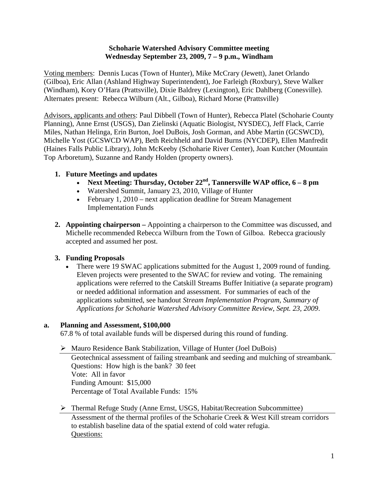### **Schoharie Watershed Advisory Committee meeting Wednesday September 23, 2009, 7 – 9 p.m., Windham**

Voting members: Dennis Lucas (Town of Hunter), Mike McCrary (Jewett), Janet Orlando (Gilboa), Eric Allan (Ashland Highway Superintendent), Joe Farleigh (Roxbury), Steve Walker (Windham), Kory O'Hara (Prattsville), Dixie Baldrey (Lexington), Eric Dahlberg (Conesville). Alternates present: Rebecca Wilburn (Alt., Gilboa), Richard Morse (Prattsville)

Advisors, applicants and others: Paul Dibbell (Town of Hunter), Rebecca Platel (Schoharie County Planning), Anne Ernst (USGS), Dan Zielinski (Aquatic Biologist, NYSDEC), Jeff Flack, Carrie Miles, Nathan Helinga, Erin Burton, Joel DuBois, Josh Gorman, and Abbe Martin (GCSWCD), Michelle Yost (GCSWCD WAP), Beth Reichheld and David Burns (NYCDEP), Ellen Manfredit (Haines Falls Public Library), John McKeeby (Schoharie River Center), Joan Kutcher (Mountain Top Arboretum), Suzanne and Randy Holden (property owners).

# **1. Future Meetings and updates**

- **Next Meeting: Thursday, October 22nd, Tannersville WAP office, 6 8 pm**
- Watershed Summit, January 23, 2010, Village of Hunter
- February 1, 2010 next application deadline for Stream Management Implementation Funds
- **2. Appointing chairperson** Appointing a chairperson to the Committee was discussed, and Michelle recommended Rebecca Wilburn from the Town of Gilboa. Rebecca graciously accepted and assumed her post.

# **3. Funding Proposals**

• There were 19 SWAC applications submitted for the August 1, 2009 round of funding. Eleven projects were presented to the SWAC for review and voting. The remaining applications were referred to the Catskill Streams Buffer Initiative (a separate program) or needed additional information and assessment. For summaries of each of the applications submitted, see handout *Stream Implementation Program, Summary of Applications for Schoharie Watershed Advisory Committee Review*, *Sept. 23, 2009*.

## **a. Planning and Assessment, \$100,000**

67.8 % of total available funds will be dispersed during this round of funding.

## Mauro Residence Bank Stabilization, Village of Hunter (Joel DuBois)

Geotechnical assessment of failing streambank and seeding and mulching of streambank. Questions: How high is the bank? 30 feet Vote: All in favor Funding Amount: \$15,000 Percentage of Total Available Funds: 15%

# Thermal Refuge Study (Anne Ernst, USGS, Habitat/Recreation Subcommittee)

Assessment of the thermal profiles of the Schoharie Creek & West Kill stream corridors to establish baseline data of the spatial extend of cold water refugia. Questions: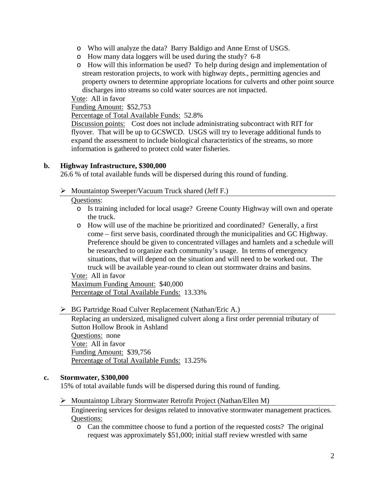- o Who will analyze the data? Barry Baldigo and Anne Ernst of USGS.
- o How many data loggers will be used during the study? 6-8
- o How will this information be used? To help during design and implementation of stream restoration projects, to work with highway depts., permitting agencies and property owners to determine appropriate locations for culverts and other point source discharges into streams so cold water sources are not impacted.

Vote: All in favor

Funding Amount: \$52,753

Percentage of Total Available Funds: 52.8%

Discussion points: Cost does not include administrating subcontract with RIT for flyover. That will be up to GCSWCD. USGS will try to leverage additional funds to expand the assessment to include biological characteristics of the streams, so more information is gathered to protect cold water fisheries.

### **b. Highway Infrastructure, \$300,000**

26.6 % of total available funds will be dispersed during this round of funding.

 $\triangleright$  Mountaintop Sweeper/Vacuum Truck shared (Jeff F.)

### Questions:

- o Is training included for local usage? Greene County Highway will own and operate the truck.
- o How will use of the machine be prioritized and coordinated? Generally, a first come – first serve basis, coordinated through the municipalities and GC Highway. Preference should be given to concentrated villages and hamlets and a schedule will be researched to organize each community's usage. In terms of emergency situations, that will depend on the situation and will need to be worked out. The truck will be available year-round to clean out stormwater drains and basins.

Vote: All in favor

Maximum Funding Amount: \$40,000 Percentage of Total Available Funds: 13.33%

▶ BG Partridge Road Culver Replacement (Nathan/Eric A.)

Replacing an undersized, misaligned culvert along a first order perennial tributary of Sutton Hollow Brook in Ashland Questions: none Vote: All in favor Funding Amount: \$39,756 Percentage of Total Available Funds: 13.25%

#### **c. Stormwater, \$300,000**

15% of total available funds will be dispersed during this round of funding.

Mountaintop Library Stormwater Retrofit Project (Nathan/Ellen M)

Engineering services for designs related to innovative stormwater management practices. Questions:

o Can the committee choose to fund a portion of the requested costs? The original request was approximately \$51,000; initial staff review wrestled with same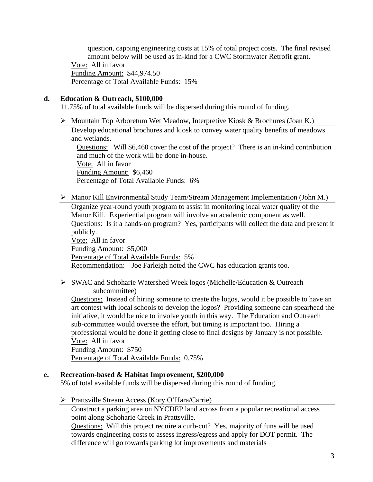question, capping engineering costs at 15% of total project costs. The final revised amount below will be used as in-kind for a CWC Stormwater Retrofit grant.

Vote: All in favor Funding Amount: \$44,974.50 Percentage of Total Available Funds: 15%

#### **d. Education & Outreach, \$100,000**

11.75% of total available funds will be dispersed during this round of funding.

 $\triangleright$  Mountain Top Arboretum Wet Meadow, Interpretive Kiosk & Brochures (Joan K.) Develop educational brochures and kiosk to convey water quality benefits of meadows and wetlands. Questions: Will \$6,460 cover the cost of the project? There is an in-kind contribution and much of the work will be done in-house. Vote: All in favor

Funding Amount: \$6,460 Percentage of Total Available Funds: 6%

- Manor Kill Environmental Study Team/Stream Management Implementation (John M.) Organize year-round youth program to assist in monitoring local water quality of the Manor Kill. Experiential program will involve an academic component as well. Questions: Is it a hands-on program? Yes, participants will collect the data and present it publicly. Vote: All in favor Funding Amount: \$5,000 Percentage of Total Available Funds: 5% Recommendation: Joe Farleigh noted the CWC has education grants too.
- SWAC and Schoharie Watershed Week logos (Michelle/Education & Outreach subcommittee)

Questions: Instead of hiring someone to create the logos, would it be possible to have an art contest with local schools to develop the logos? Providing someone can spearhead the initiative, it would be nice to involve youth in this way. The Education and Outreach sub-committee would oversee the effort, but timing is important too. Hiring a professional would be done if getting close to final designs by January is not possible. Vote: All in favor Funding Amount: \$750

Percentage of Total Available Funds: 0.75%

#### **e. Recreation-based & Habitat Improvement, \$200,000**

5% of total available funds will be dispersed during this round of funding.

Prattsville Stream Access (Kory O'Hara/Carrie)

Construct a parking area on NYCDEP land across from a popular recreational access point along Schoharie Creek in Prattsville.

Questions: Will this project require a curb-cut? Yes, majority of funs will be used towards engineering costs to assess ingress/egress and apply for DOT permit. The difference will go towards parking lot improvements and materials